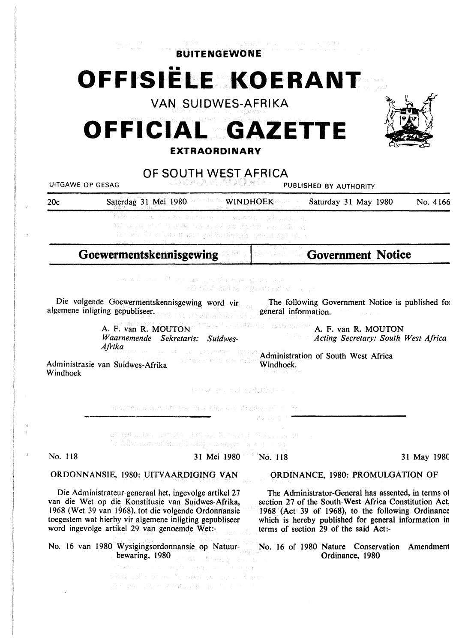**BUITENGEWONE** 

# OFFISIELE KOERANT

**VAN SUIDWES-AFRIKA** 

## **OFFICIAL GAZETTE EXTRAORDINARY**



## **OF SOUTH WEST AFRICA**

UITGAWE OP GESAG PUBLISHED BY AUTHORITY

20c Saterdag 31 Mei 1980 WINDHOEK Saturday 31 May 1980 No. 4166

fair an comparative and any state state of the state to: Lague and Custom worked ab form as this the ail. As a based in a pridictive six within any of

**Goewermentskennisgewing Government Notice**  the model char

s – The Party County of the Second Community<br>Campaign (1983): A Party Community (1986)

Die volgende Goewermentskennisgewing word vir algemene inligting gepubliseer. The following Government Notice is published for general information.

Sinasa Kili shido da Tababi gwelet A. F. van R. MOUTON A. F. van R. MOUTON *Waarnemende Sekretaris: Suidwes-Acting Secretary: South West Africa Afrika* 

The Manufacturer

Administration of South West Africa xamerin'nyak dibe Administrasie van Suidwes-Afrika Windhoek. Windhoek

and we see and substitutions.

arsgebora slected because the conductive direct

general man was der grund burge er eine Stürgung der โรงเมื่อใหม่ และพลาสไม่ผ่อไปไม่เห็นไม่ผู้เล่น เราของพลาก (พ.ศ. 1971-1974)

No. 118 31 Mei 1980 No. 118

**No. l 18** 31 May 198C

ORDONNANSIE, 1980: UITVAARDIGING VAN

Die Administrateur-generaal het, ingevolge artikel 27 van die Wet op die Konstitusie van Suidwes-Afrika, l 968 (Wet 39 van l 968), tot die volgende Ordonnansie toegestem wat hierby vir algemene inligting gepubliseer word ingevolge artikel 29 van genoemde **Wet:-**

No. 16 van 1980 Wysigingsordonnansie op Natuur**bewaring, 1980** 

en de la provincia de la provincia de la provincia de la provincia de la provincia de la provincia de la provi<br>Estado de la provincia de la provincia de la provincia de la provincia de la provincia de la provincia de la p when with a series to accompanion of the 第七章中, 1917年来有数, 794年4月, 714年6月

ORDINANCE, 1980: PROMULGATION OF

The Administrator-General has assented, in terms ol section 27 of the South-West Africa Constitution Act 1968 (Act 39 of 1968), to the following Ordinance which is hereby published for general information in terms of section 29 of the said Act:-

No. 16 of 1980 Nature Conservation Amendment Ordinance, 1980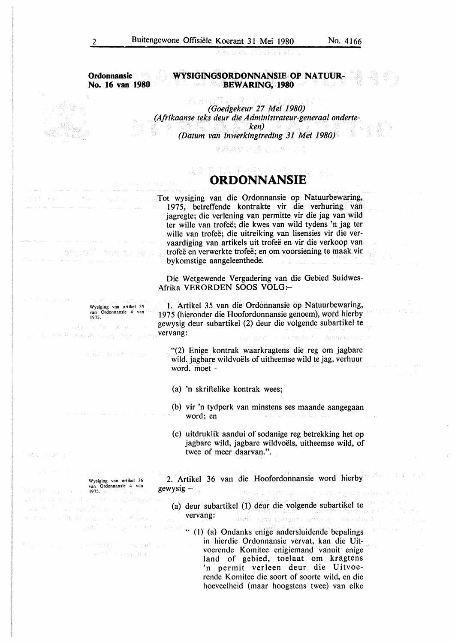#### **Ordonnansie No. 16 van 1980 WYSIGINGSORDONNANSIE OP NATUUR-BEWARING, 1980**

*(Goedgekeur 27 Mei 1980) (Afrikaanse teks deur die Administrateur-generaal onderteken) (Datum van inwerkingtreding 31 Mei 1980)* 

新籍 森 炉 (の)警 に 九 朝

## **ORDONNANSIE**

Tot wysiging van die Ordonnansie op Natuurbewaring, 1975, betreffende kontrakte vir die verhuring van jagregte; die verlening van permitte vir die jag van wild ter wille van trofee; die kwes van wild tydens 'n jag ter wille van trofeë; die uitreiking van lisensies vir die vervaardiging van artikels uit trofeë en vir die verkoop van trofee en verwerkte trofee; en om voorsiening te maak vir bykomstige aangeleenthede.

Die Wetgewende Vergadering van die Gebied Suidwes-Afrika VERORDEN SOOS VOLG:-

l. Artiket 35 van die Ordonnansie op Natuurbewaring, 1975 (hieronder die Hoofordonnansie genoem), word hierby gewysig deur subartikel (2) deur die volgende subartikel te vervang: Array Respublica

"(2) Enige kontrak waarkragtens die reg om jagbare wild, jagbare wildvoëls of uitheemse wild te jag, verhuur word. moet -

- (a) 'n skriftelike kontrak wees;
- (b) vir 'n tydperk van minstens ses maande aangegaan word; en
- (c) uitdruklik aandui of sodanige reg betrekking het op jagbare wild, jagbare wildvoëls, uitheemse wild, of twee of meer daarvan.".

2. Artikel 36 van die Hoofordonnansie word hierby gewysig -·

(a) deur subartikel (1) deur die volgende subartikel te vervang: osa suitaile: ambore

" (I) (a) Ondanks enige andersluidende bepalings in hierdie Ordonnansie vervat, kan die Uit-

voerende Komitee enigiemand vanuit enige land of gebied, toelaat om kragtens 'n permit verleen deur die Uitvoerende Komitee die soort of soorte wild, en die hoeveelheid (maar hoogstens twee) van elke

Strandar

Wysiging van artikel 36 **van Ordonnansie 4 van**  1975. te dan ing mengenak berkilasi

Wysiging van artikel 35 **van Ordonnansie 4 van** 

1975.

i vir  $\mathcal{W}^{n-3,1} \cap \mathcal{W}^{n}(\widetilde{\mathcal{W}}_{n-1}) \cap \mathcal{W}^{n-1,0}(\mathcal{W})$ 

원학 전 소리

Alba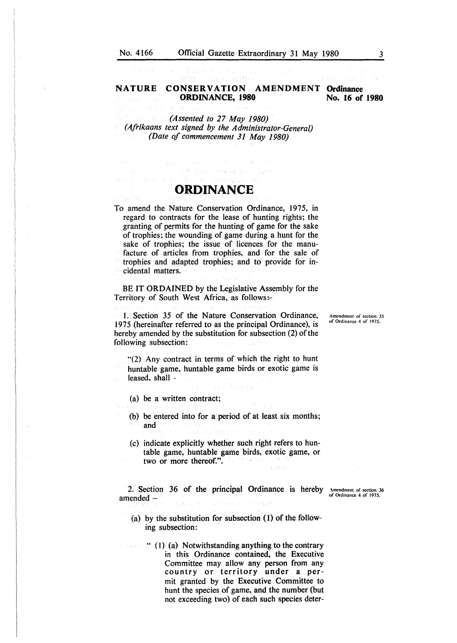iga Pas

#### **NATURE CONSERVATION AMENDMENT Ordinance ORDINANCE, 1980**

*(Assented to 27 May 1980) (Afrikaans text signed by the Administrator-General) (Date of commencement 31 May 1980)* 

### **ORDINANCE**

ายราวอังการทำงาน การ 18 สถานราวารส*ถาม โดย การ*สถา

a di kilimatan kasar di kacamatan Santan

To amend the Nature Conservation Ordinance, 1975, in regard to contracts for the lease of hunting rights; the granting of permits for the hunting of game for the sake of trophies; the wounding of game during a hunt for the sake of trophies; the issue of licences for the manufacture of articles from trophies, and for the sale of trophies and adapted trophies; and to provide for incidental matters.

BE IT **ORDAINED** by the Legislative Assembly for the Territory of South West Africa, as follows:-

I. Section 35 of the Nature Conservation Ordinance, 1975 (hereinafter referred to as the principal Ordinance), is hereby amended by the substitution for subsection (2) of the following subsection:

"(2) Any contract in terms of which the right to hunt huntable game, huntable game birds or exotic game is

awar Pelasawa

leased. shall -

(a) be a written contract;

(b) be entered into for a period of at least six months; and

2. Section 36 of the principal Ordinance is hereby Amendment of section 36 amended -

**Ordinance 4 of 1975.** 

(a) by the substitution for subsection (1) of the following subsection:

" (I) (a) Notwithstanding anything to the contrary nas Kaapst in this Ordinance contained, the Executive Committee may allow any person from any country or territory under a permit granted by the Executive Committee to hunt the species of game, and the number (but not exceeding two) of each such species deter-

Amendment of section 35 of Ordinance 4 of 1975.

<sup>(</sup>c) indicate explicitly whether such right refers to huntable game, huntable game birds, exotic game, or two or more thereof.".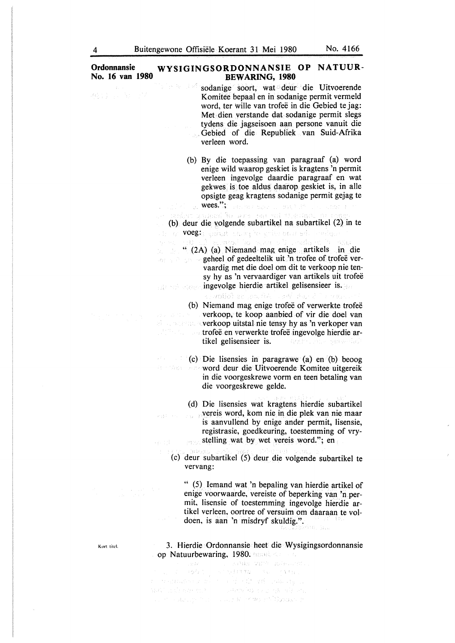$\tilde{\chi}$ 

| Ordonnansie<br>No. 16 van 1980                                                                      | WYSIGINGSORDONNANSIE OP NATUUR-<br>BEWARING, 1980                                                                                                                                                                                                                                                                                                                                                                                                                                                                                                                      |
|-----------------------------------------------------------------------------------------------------|------------------------------------------------------------------------------------------------------------------------------------------------------------------------------------------------------------------------------------------------------------------------------------------------------------------------------------------------------------------------------------------------------------------------------------------------------------------------------------------------------------------------------------------------------------------------|
| $\mathcal{L}_{\text{max}} = \mathcal{L}_{\text{max}}$ , where $\mathcal{L}_{\text{max}}$<br>450 日本学 | (biline Agostaf)<br>sodanige soort, wat deur die Uitvoerende<br>Komitee bepaal en in sodanige permit vermeld<br>word, ter wille van trofeë in die Gebied te jag:<br>Met dien verstande dat sodanige permit slegs<br>tydens die jagseisoen aan persone vanuit die<br>Gebied of die Republiek van Suid-Afrika<br>verleen word.                                                                                                                                                                                                                                           |
|                                                                                                     | (b) By die toepassing van paragraaf (a) word<br>enige wild waarop geskiet is kragtens 'n permit<br>verleen ingevolge daardie paragraaf en wat<br>gekwes is toe aldus daarop geskiet is, in alle<br>opsigte geag kragtens sodanige permit gejag te<br>which are <b>wees."</b> I say to see the start of the control of<br>ov skrijet gadani for som har sai 20.4340. En tener<br>(b) deur die volgende subartikel na subartikel (2) in te<br>a, p<br>The cor <b>voeg:</b> a gainate changing spiles on mode consider the<br>and the will expeal to book of pasts of the |
|                                                                                                     | (2A) (a) Niemand mag enige artikels in die<br>and the second second general of gedeeltelik uit 'n trofee of trofeë ver-<br>vaardig met die doel om dit te verkoop nie ten-<br>sy hy as 'n vervaardiger van artikels uit trofeë<br>and the ingevolge hierdie artikel gelisensieer is.<br>as wellower sensible a see that the present the                                                                                                                                                                                                                                |
|                                                                                                     | (b) Niemand mag enige trofeë of verwerkte trofeë<br><b>Example 2018</b> verkoop, te koop aanbied of vir die doel van<br><b>Example 21 Contract Verkoop uitstal nie tensy hy as 'n verkoper van</b><br>trofeë en verwerkte trofeë ingevolge hierdie ar-<br>tikel gelisensieer is. The contract procedure                                                                                                                                                                                                                                                                |
|                                                                                                     | (c) Die lisensies in paragrawe (a) en (b) beoog<br>and the subsequent of the Uitvoerende Komitee uitgereik<br>in die voorgeskrewe vorm en teen betaling van<br>die voorgeskrewe gelde.                                                                                                                                                                                                                                                                                                                                                                                 |
|                                                                                                     | 计加工 海边区 机加工<br>(d) Die lisensies wat kragtens hierdie subartikel<br>vereis word, kom nie in die plek van nie maar<br>is aanvullend by enige ander permit, lisensie,<br>registrasie, goedkeuring, toestemming of vry-<br>stelling wat by wet vereis word."; en<br>reynay.                                                                                                                                                                                                                                                                                               |
|                                                                                                     | gys, mans, szóc met c'houet cen<br>(c) deur subartikel (5) deur die volgende subartikel te<br>vervang:                                                                                                                                                                                                                                                                                                                                                                                                                                                                 |
| 医心包 医心血管 经未定期<br>$\sim 10^4$ and $\sigma$                                                           | (5) Iemand wat 'n bepaling van hierdie artikel of<br>enige voorwaarde, vereiste of beperking van 'n per-<br>mit, lisensie of toestemming ingevolge hierdie ar-<br>tikel verleen, oortree of versuim om daaraan te vol-<br>doen, is aan 'n misdryf skuldig.".<br>39 B. Gal                                                                                                                                                                                                                                                                                              |
| Kort titel.                                                                                         | 3. Hierdie Ordonnansie heet die Wysigingsordonnansie<br>op Natuurbewaring, 1980. assairs and a<br>(日本) アイランド という結果 マガサー ねりおいひだ                                                                                                                                                                                                                                                                                                                                                                                                                                         |

 $\sim$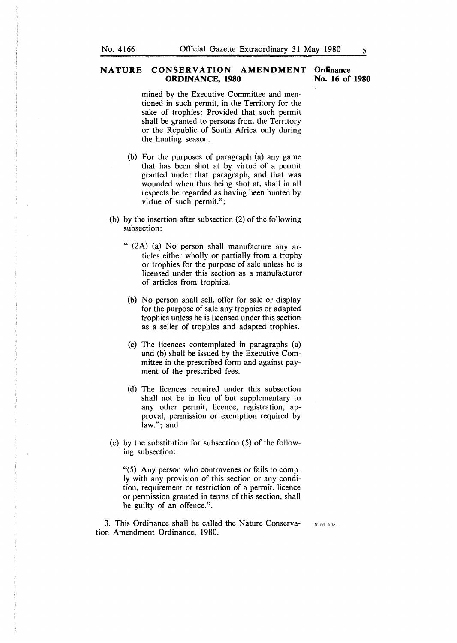#### **NATURE CONSERVATION AMENDMENT Ordinance ORDINANCE, 1980**

mined by the Executive Committee and mentioned in such permit, in the Territory for the sake of trophies: Provided that such permit shall be granted to persons from the Territory or the Republic of South Africa only during the hunting season.

- (b) For the purposes of paragraph (a) any game that has been shot at by virtue of a permit granted under that paragraph, and that was wounded when thus being shot at, shall in all respects be regarded as having been hunted by virtue of such permit.";
- (b) by the insertion after subsection (2) of the following subsection:
	- " (2A) (a) No person shall manufacture any articles either wholly or partially from a trophy or trophies for the purpose of sale unless he is licensed under this section as a manufacturer of articles from trophies.
	- (b) No person shall sell, offer for sale or display for the purpose of sale any trophies or adapted trophies unless he is licensed under this section as a seller of trophies and adapted trophies.
	- (c) The licences contemplated in paragraphs (a) and (b) shall be issued by the Executive Committee in the prescribed form and against payment of the prescribed fees.
	- (d) The licences required under this subsection shall not be in lieu of but supplementary to any other permit, licence, registration, approval, permission or exemption required by law."; and
- (c) by the substitution for subsection (5) of the following subsection:

"(5) Any person who contravenes or fails to comply with any provision of this section or any condition, requirement or restriction of a permit. licence or permission granted in terms of this section, shall be guilty of an offence.".

3. This Ordinance shall be called the Nature Conservation Amendment Ordinance, 1980.

Short title.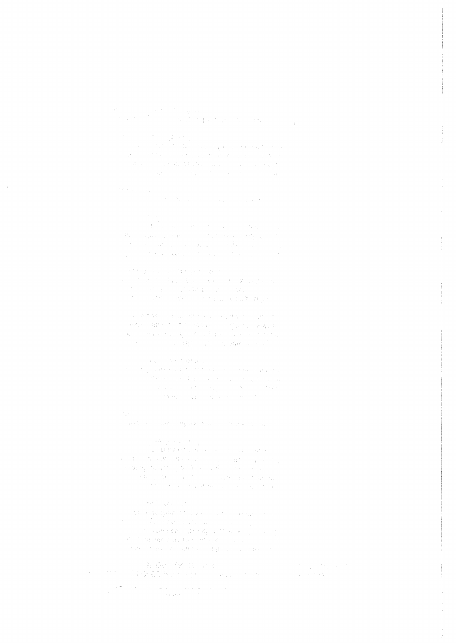$\label{eq:2.1} \begin{split} \sigma_{\rm{eff}}(x) \cdot \nabla_{\rm{eff}}(x) \cdot \nabla_{\rm{eff}}(x) \cdot \nabla_{\rm{eff}}(x) \cdot \nabla_{\rm{eff}}(x) \cdot \nabla_{\rm{eff}}(x) \cdot \nabla_{\rm{eff}}(x) \cdot \nabla_{\rm{eff}}(x) \cdot \nabla_{\rm{eff}}(x) \cdot \nabla_{\rm{eff}}(x) \cdot \nabla_{\rm{eff}}(x) \cdot \nabla_{\rm{eff}}(x) \cdot \nabla_{\rm{eff}}(x) \cdot \nabla_{\rm{eff}}(x)$ 

 $\label{eq:3.1} \begin{split} \mathcal{G}^{(1)}(t) = \mathcal{G}^{(1)}(t) = \mathcal{G}^{(1)}(t) = \mathcal{G}^{(1)}(t) = \mathcal{G}^{(1)}(t) = \mathcal{G}^{(1)}(t) = \mathcal{G}^{(1)}(t) = \mathcal{G}^{(1)}(t) = \mathcal{G}^{(1)}(t) = \mathcal{G}^{(1)}(t) = \mathcal{G}^{(1)}(t) = \mathcal{G}^{(1)}(t) = \mathcal{G}^{(1)}(t) = \mathcal{G}^{(1)}(t) = \mathcal{G}^{(1)}$ 

 $\begin{split} \mathcal{R}_{\mathcal{G}}^{\mathcal{G}}(\mathcal{G}) = \mathcal{R}_{\mathcal{G}}^{\mathcal{G}}(\mathcal{G}) = \mathcal{R}_{\mathcal{G}}^{\mathcal{G}}(\mathcal{G}) = \mathcal{R}_{\mathcal{G}}^{\mathcal{G}}(\mathcal{G}) = \mathcal{R}_{\mathcal{G}}^{\mathcal{G}}(\mathcal{G}) = \mathcal{R}_{\mathcal{G}}^{\mathcal{G}}(\mathcal{G}) = \mathcal{R}_{\mathcal{G}}^{\mathcal{G}}(\mathcal{G}) = \mathcal{R}_{\mathcal{G}}^{\mathcal{G}}(\mathcal{G}) = \mathcal{R}_{\$ 

and who typical and control of a make their

 $\label{eq:1} \begin{split} \mathcal{L}_{\text{max}}(\text{d} \hat{\text{u}}) &\text{for } \hat{\text{u}} \in \mathcal{M}(\text{d} \text{u}^{\text{th}}) \text{,} \\ \mathcal{M}_{\text{max}}(\text{d} \text{u}^{\text{th}}) &\text{for } \hat{\text{u}} \in \mathcal{M}(\text{d} \text{u}^{\text{th}}) \text{,} \\ \mathcal{M}_{\text{max}}(\text{d} \text{u}^{\text{th}}) &\text{for } \hat{\text{u}} \in \mathcal{M}(\text{d} \text{u}^{\text{th}}) \text$ "我们一天一天,这个人都不是你这么?" 化二羟二乙烷

and the compact of the state of the second compact the state of the

 $\label{eq:1} \mathcal{L}(\mathcal{F},\mathcal{F}_{\mathcal{G}}) = \mathcal{L}(\mathcal{V},\mathcal{F}) \left\{ \mathcal{L}(\mathcal{K}_{\mathcal{G}}^{\mathcal{M}}(\mathcal{F},\mathcal{F}_{\mathcal{G}})) \right\}$  $\begin{split} \mathcal{F}_{\mathcal{A}}^{\mathcal{A}}&=\mathcal{F}_{\mathcal{A}}^{\mathcal{A}}\left(\mathcal{A}_{\mathcal{A}}^{\mathcal{A}}\right)\left(\mathcal{A}_{\mathcal{A}}^{\mathcal{A}}\right)\left(\mathcal{A}_{\mathcal{A}}^{\mathcal{A}}\right)\left(\mathcal{A}_{\mathcal{A}}^{\mathcal{A}}\right)\left(\mathcal{A}_{\mathcal{A}}^{\mathcal{A}}\right)\left(\mathcal{A}_{\mathcal{A}}^{\mathcal{A}}\right)\left(\mathcal{A}_{\mathcal{A}}^{\mathcal{A}}\right)\left(\mathcal{A}_{\mathcal{A}}^$ 

TAS ARE PER LONGER PROPERTY AND SERVICE 

i se tito de la composición de la composición.<br>A contra antico de la contra de la composición de la composición de la composición de la composición de la com 

 $\mathbb{R}^{2n}$ 

 $\mathcal{F}^{\mathcal{G}}_{\mathcal{G}}\left(\mathcal{D}_{\mathcal{G}}\right)=\mathcal{F}^{\mathcal{G}}_{\mathcal{G}}\left(\mathcal{F}^{\mathcal{G}}_{\mathcal{G}}\right)=\mathcal{F}^{\mathcal{G}}_{\mathcal{G}}\left(\mathcal{G}^{\mathcal{G}}_{\mathcal{G}}\right)=\mathcal{F}^{\mathcal{G}}_{\mathcal{G}}\left(\mathcal{G}^{\mathcal{G}}_{\mathcal{G}}\right)=\mathcal{F}^{\mathcal{G}}_{\mathcal{G}}\left(\mathcal{G}^{\mathcal{G}}_{\mathcal{G}}\right)$ 

 $\lambda$ 

 $\label{eq:2.1} \begin{split} \mathcal{L}^{(1)}(x) &= \mathcal{L}^{(1)}(x) \mathcal{L}^{(1)}(x) \mathcal{L}^{(1)}(x) \mathcal{L}^{(1)}(x) \mathcal{L}^{(1)}(x) \mathcal{L}^{(1)}(x) \mathcal{L}^{(1)}(x) \mathcal{L}^{(1)}(x) \mathcal{L}^{(1)}(x) \\ &\leq \mathcal{L}^{(1)}(x) \mathcal{L}^{(1)}(x) \mathcal{L}^{(1)}(x) \mathcal{L}^{(1)}(x) \mathcal{L}^{(1)}(x) \mathcal{L$ 

 $\label{eq:R1} \begin{split} \mathcal{H}^{\text{L}}_{\text{GUT}}(x,y) &= \mathcal{H}^{\text{L}}_{\text{GUT}}(x,y) \, , \\ \mathcal{H}^{\text{L}}_{\text{GUT}}(x,y) &= \mathcal{H}^{\text{L}}_{\text{GUT}}(x,y) \, , \\ \mathcal{H}^{\text{L}}_{\text{GUT}}(x,y) &= \mathcal{H}^{\text{L}}_{\text{GUT}}(x,y) \, , \\ \mathcal{H}^{\text{L}}_{\text{GUT}}(x,y) &= \mathcal{H}^{\text{L}}_{\text{GUT}}(x,y) \, , \\ \mathcal$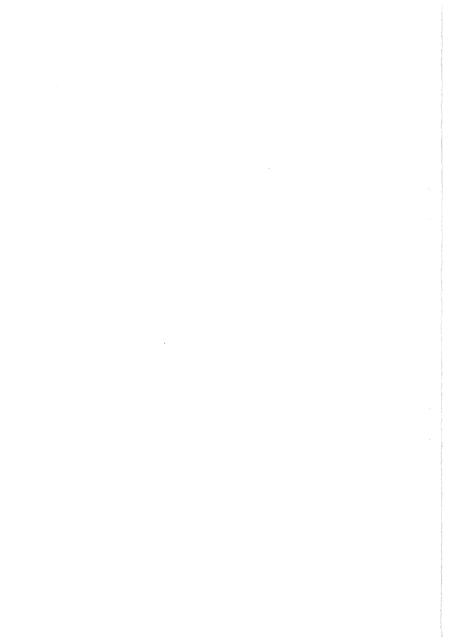$\label{eq:2.1} \frac{1}{\sqrt{2}}\int_{0}^{\infty}\frac{1}{\sqrt{2\pi}}\left(\frac{1}{\sqrt{2\pi}}\right)^{2}d\mu\int_{0}^{\infty}\frac{1}{\sqrt{2\pi}}\left(\frac{1}{\sqrt{2\pi}}\right)^{2}d\mu\int_{0}^{\infty}\frac{1}{\sqrt{2\pi}}\left(\frac{1}{\sqrt{2\pi}}\right)^{2}d\mu\int_{0}^{\infty}\frac{1}{\sqrt{2\pi}}\frac{1}{\sqrt{2\pi}}\frac{1}{\sqrt{2\pi}}\frac{1}{\sqrt{2\pi}}\frac{1}{\sqrt{2\pi}}$ 

 $\hat{\phi}$ 

 $\sim$ 

 $\mathcal{L}^{\text{max}}_{\text{max}}$  . The  $\mathcal{L}^{\text{max}}_{\text{max}}$